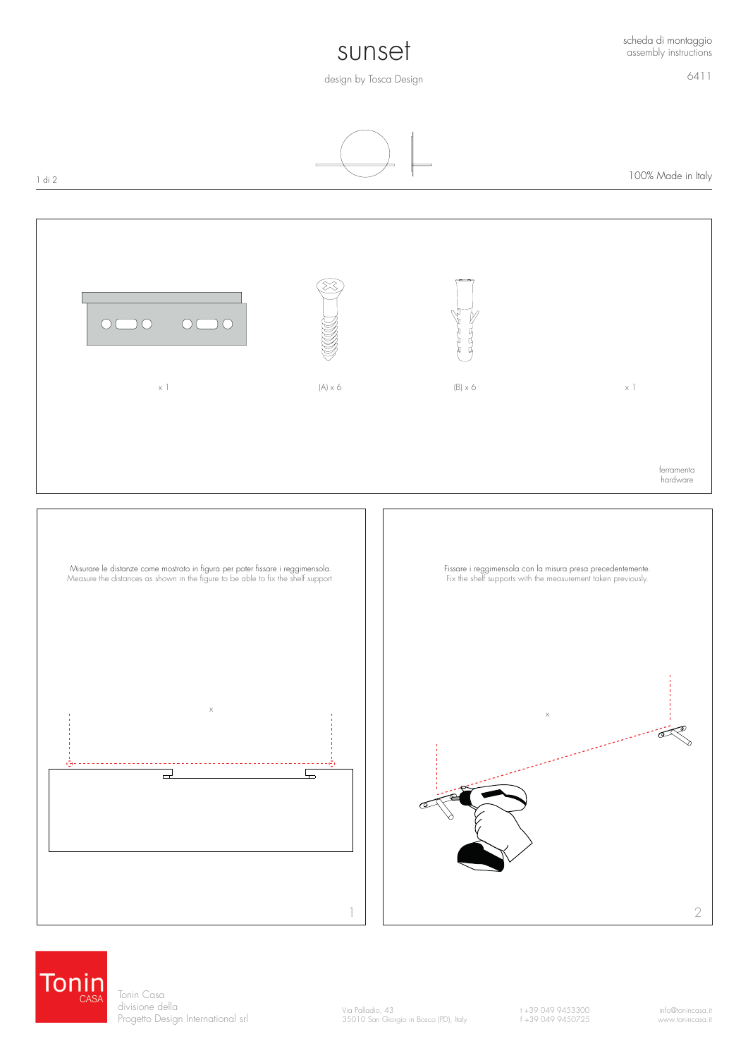## sunset

6411